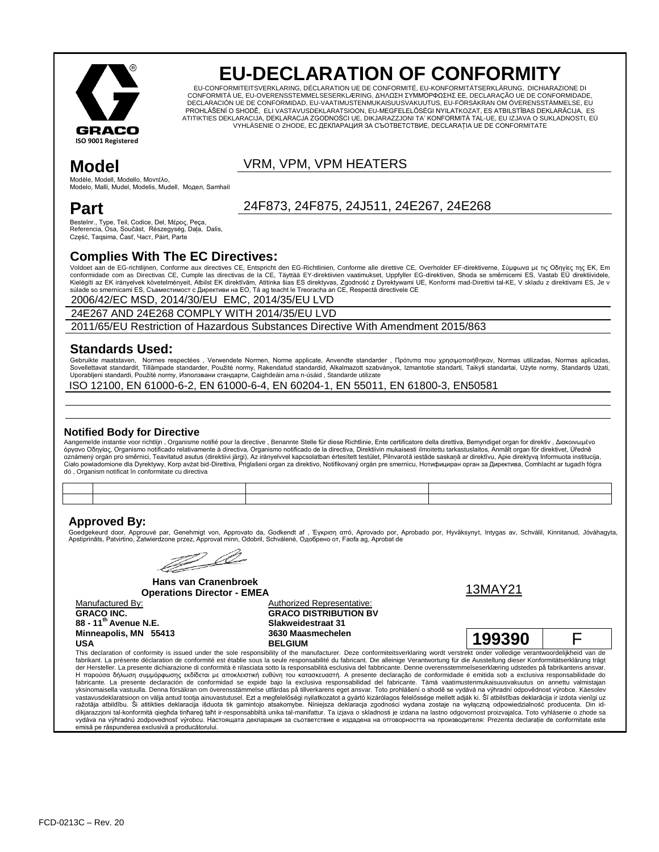

# **EU-DECLARATION OF CONFORMITY**

EU-CONFORMITEITSVERKLARING, DÉCLARATION UE DE CONFORMITÉ, EU-KONFORMITÄTSERKLÄRUNG, DICHIARAZIONE DI CONFORMITÀ UE, EU-OVERENSSTEMMELSESERKLÆRING, ΔΉΛΩΣΗ ΣΥΜΜΌΡΦΩΣΗΣ ΕΕ, DECLARAÇÃO UE DE CONFORMIDADE,<br>DECLARACIÓN UE DE CONFORMIDAD, EU-VAATIMUSTENMUKAISUUSVAKUUTUS, EU-FÖRSÄKRAN OM ÖVERENSSTÄMMELSE, EU PROHLÁŠENÍ O SHODĚ, ELI VASTAVUSDEKLARATSIOON, EU-MEGFELELŐSÉGI NYILATKOZAT, ES ATBILSTĪBAS DEKLARĀCIJA, ES ATITIKTIES DEKLARACIJA, DEKLARACJA ZGODNOŚCI UE, DIKJARAZZJONI TA' KONFORMITÀ TAL-UE, EU IZJAVA O SUKLADNOSTI, EÚ VYHLÁSENIE O ZHODE, ЕС ДЕКЛАРАЦИЯ ЗА СЪОТВЕТСТВИЕ, DECLARAȚIA UE DE CONFORMITATE

### VRM, VPM, VPM HEATERS

Modèle, Modell, Modello, Μονηέλο, Modelo, Malli, Mudel, Modelis, Mudell, Модел, Samhail

## **Part**

**Model**

Bestelnr., Type, Teil, Codice, Del, Μέρος, Peça, Referencia, Osa, Součást, Részegység, Daļa, Dalis, Część, Taqsima, Časť, Част, Páirt, Parte

#### **Complies With The EC Directives:**

Voldoet aan de EG-richtlijnen, Conforme aux directives CE, Entspricht den EG-Richtlinien, Conforme alle direttive CE, Overholder EF-direktiverne, Σύμφωνα με τις Οδηγίες της ΕΚ, Em conformidade com as Directivas CE, Cumple las directivas de la CE, Täyttää EY-direktiivien vaatimukset, Uppfyller EG-direktiven, Shoda se směrnicemi ES, Vastab EÜ direktiividele, Kielégíti az EK irányelvek követelményeit, Atbilst EK direktīvām, Atitinka šias ES direktyvas, Zgodność z Dyrektywami UE, Konformi mad-Direttivi tal-KE, V skladu z direktivami ES, Je v<br>súlade so smernicami ES, Съвместимос

24F873, 24F875, 24J511, 24E267, 24E268

2006/42/EC MSD, 2014/30/EU EMC, 2014/35/EU LVD

24E267 AND 24E268 COMPLY WITH 2014/35/EU LVD

2011/65/EU Restriction of Hazardous Substances Directive With Amendment 2015/863

#### **Standards Used:**

Gebruikte maatstaven, Normes respectées, Verwendete Normen, Norme applicate, Anvendte standarder, Πρότυπα που χρησιμοποιήθηκαν, Normas utilizadas, Normas aplicadas, Sovellettavat standardit, Tillämpade standarder, Použité normy, Rakendatud standardid, Alkalmazott szabványok, Izmantotie standarti, Taikyti standartai, Użyte normy, Standards Użati,<br>Uporabljeni standardi, Použité normy,

ISO 12100, EN 61000-6-2, EN 61000-6-4, EN 60204-1, EN 55011, EN 61800-3, EN50581

#### **Notified Body for Directive**

Aangemelde instantie voor richtlijn , Organisme notifié pour la directive , Benannte Stelle für diese Richtlinie, Ente certificatore della direttiva, Bemyndiget organ for direktiv , Διακοινωμένο<br>όργανο Οδηγίας, Organismo dó , Organism notificat în conformitate cu directiva

#### **Approved By:**

Goedgekeurd door, Approuvé par, Genehmigt von, Approvato da, Godkendt af , Έγκριση από, Aprovado por, Aprobado por, Hyväksynyt, Intygas av, Schválil, Kinnitanud, Jóváhagyta, Apstiprināts, Patvirtino, Zatwierdzone przez, Approvat minn, Odobril, Schválené, Одобрено от, Faofa ag, Aprobat de

? Ll

**Hans van Cranenbroek Operations Director - EMEA** 13MAY21

**GRACO INC. 88 - 11th Avenue N.E. Minneapolis, MN 55413 USA**

Manufactured By: Manufactured By: Authorized Representative: **GRACO DISTRIBUTION BV Slakweidestraat 31 3630 Maasmechelen**



**BELGIUM 199390** F

This declaration of conformity is issued under the sole responsibility of the manufacturer. Deze conformiteitsverklaring wordt verstrekt onder volledige verantwoordelijkheid van de fabrikant. La présente déclaration de conformité est établie sous la seule responsabilité du fabricant. Die alleinige Verantwortung für die Ausstellung dieser Konformitätserklärung trägt<br>der Hersteller. La presente dichiar Η παρούσα δήλωση συμμόρφωσης εκδίδεται με αποκλειστική ευθύνη του κατασκευαστή. A presente declaração de conformidade é emitida sob a exclusiva responsabilidade do fabricante. La presente declaración de conformidad se expide bajo la exclusiva responsabilidad del fabricante. Tämä vaatimustenmukaisuusvakuutus on annettu valmistajan yksinomaisella vastuulla. Denna försäkran om överensstämmelse utfärdas på tillverkarens eget ansvar. Toto prohlášení o shodě se vydává na výhradní odpovědnost výrobce. Käesolev vastavusdeklaratsioon on välja antud tootja ainuvastutusel. Ezt a megfelelőségi nyilatkozatot a gyártó kizárólagos felelőssége mellett adják ki. Šī atbilstības deklarācija ir izdota vienīgi uz<br>ražotāja atbildību. Ši atitkt dikjarazzjoni tal-konformità qiegħda tinħareġ taħt ir-responsabbiltà unika tal-manifattur. Ta izjava o skladnosti je izdana na lastno odgovornost proizvajalca. Toto vyhlásenie o zhode sa vydáva na výhradnú zodpovednosť výrobcu. Настоящата декларация за съответствие е издадена на отговорността на производителя: Prezenta declarație de conformitate este emisă pe răspunderea exclusivă a producătorului.